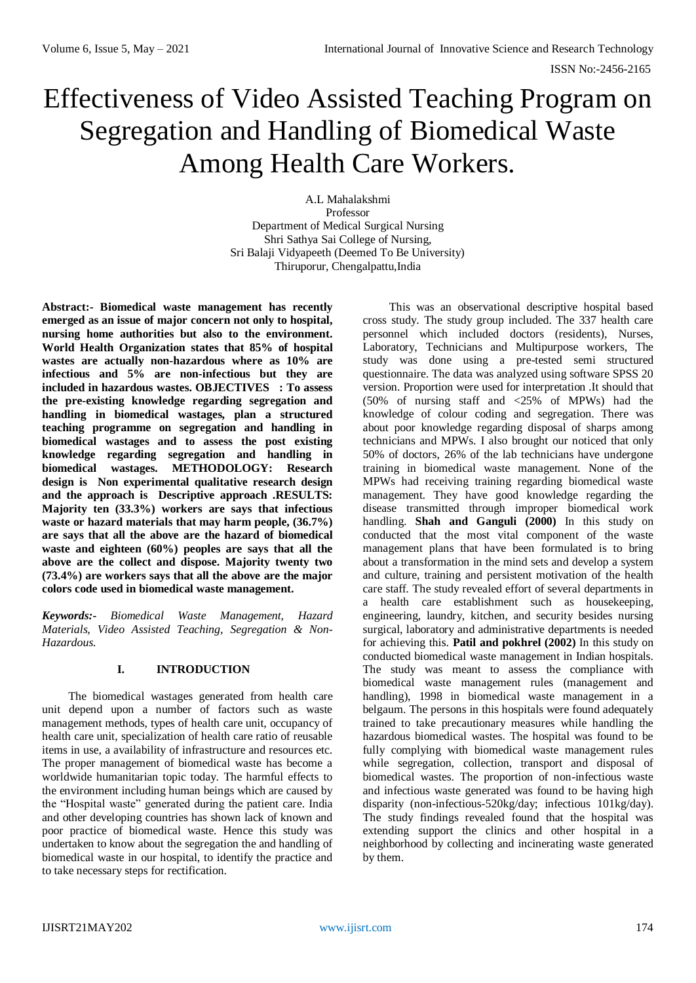# Effectiveness of Video Assisted Teaching Program on Segregation and Handling of Biomedical Waste Among Health Care Workers.

A.L Mahalakshmi Professor Department of Medical Surgical Nursing Shri Sathya Sai College of Nursing, Sri Balaji Vidyapeeth (Deemed To Be University) Thiruporur, Chengalpattu,India

**Abstract:- Biomedical waste management has recently emerged as an issue of major concern not only to hospital, nursing home authorities but also to the environment. World Health Organization states that 85% of hospital wastes are actually non-hazardous where as 10% are infectious and 5% are non-infectious but they are included in hazardous wastes. OBJECTIVES : To assess the pre-existing knowledge regarding segregation and handling in biomedical wastages, plan a structured teaching programme on segregation and handling in biomedical wastages and to assess the post existing knowledge regarding segregation and handling in biomedical wastages. METHODOLOGY: Research design is Non experimental qualitative research design and the approach is Descriptive approach .RESULTS: Majority ten (33.3%) workers are says that infectious waste or hazard materials that may harm people, (36.7%) are says that all the above are the hazard of biomedical waste and eighteen (60%) peoples are says that all the above are the collect and dispose. Majority twenty two (73.4%) are workers says that all the above are the major colors code used in biomedical waste management.** 

*Keywords:- Biomedical Waste Management, Hazard Materials, Video Assisted Teaching, Segregation & Non-Hazardous.*

## **I. INTRODUCTION**

The biomedical wastages generated from health care unit depend upon a number of factors such as waste management methods, types of health care unit, occupancy of health care unit, specialization of health care ratio of reusable items in use, a availability of infrastructure and resources etc. The proper management of biomedical waste has become a worldwide humanitarian topic today. The harmful effects to the environment including human beings which are caused by the "Hospital waste" generated during the patient care. India and other developing countries has shown lack of known and poor practice of biomedical waste. Hence this study was undertaken to know about the segregation the and handling of biomedical waste in our hospital, to identify the practice and to take necessary steps for rectification.

This was an observational descriptive hospital based cross study. The study group included. The 337 health care personnel which included doctors (residents), Nurses, Laboratory, Technicians and Multipurpose workers, The study was done using a pre-tested semi structured questionnaire. The data was analyzed using software SPSS 20 version. Proportion were used for interpretation .It should that (50% of nursing staff and <25% of MPWs) had the knowledge of colour coding and segregation. There was about poor knowledge regarding disposal of sharps among technicians and MPWs. I also brought our noticed that only 50% of doctors, 26% of the lab technicians have undergone training in biomedical waste management. None of the MPWs had receiving training regarding biomedical waste management. They have good knowledge regarding the disease transmitted through improper biomedical work handling. **Shah and Ganguli (2000)** In this study on conducted that the most vital component of the waste management plans that have been formulated is to bring about a transformation in the mind sets and develop a system and culture, training and persistent motivation of the health care staff. The study revealed effort of several departments in a health care establishment such as housekeeping, engineering, laundry, kitchen, and security besides nursing surgical, laboratory and administrative departments is needed for achieving this. **Patil and pokhrel (2002)** In this study on conducted biomedical waste management in Indian hospitals. The study was meant to assess the compliance with biomedical waste management rules (management and handling), 1998 in biomedical waste management in a belgaum. The persons in this hospitals were found adequately trained to take precautionary measures while handling the hazardous biomedical wastes. The hospital was found to be fully complying with biomedical waste management rules while segregation, collection, transport and disposal of biomedical wastes. The proportion of non-infectious waste and infectious waste generated was found to be having high disparity (non-infectious-520kg/day; infectious 101kg/day). The study findings revealed found that the hospital was extending support the clinics and other hospital in a neighborhood by collecting and incinerating waste generated by them.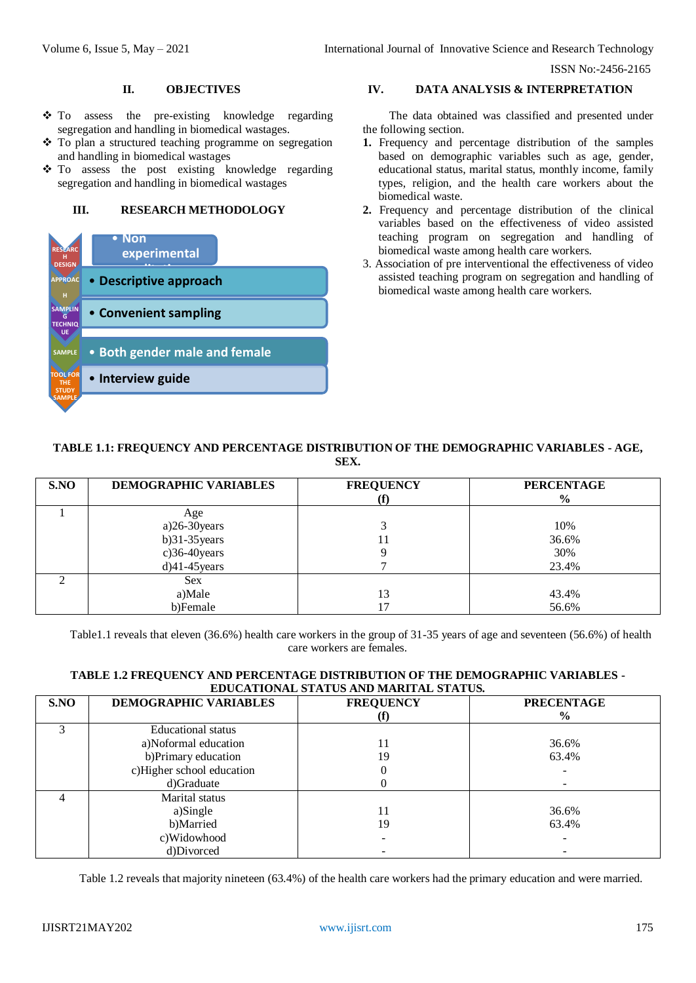## **II. OBJECTIVES**

- To assess the pre-existing knowledge regarding segregation and handling in biomedical wastages.
- $\div$  To plan a structured teaching programme on segregation and handling in biomedical wastages
- To assess the post existing knowledge regarding segregation and handling in biomedical wastages

# **III. RESEARCH METHODOLOGY**



# **IV. DATA ANALYSIS & INTERPRETATION**

The data obtained was classified and presented under the following section.

- **1.** Frequency and percentage distribution of the samples based on demographic variables such as age, gender, educational status, marital status, monthly income, family types, religion, and the health care workers about the biomedical waste.
- **2.** Frequency and percentage distribution of the clinical variables based on the effectiveness of video assisted teaching program on segregation and handling of biomedical waste among health care workers.
- 3. Association of pre interventional the effectiveness of video assisted teaching program on segregation and handling of biomedical waste among health care workers.

# **TABLE 1.1: FREQUENCY AND PERCENTAGE DISTRIBUTION OF THE DEMOGRAPHIC VARIABLES - AGE, SEX.**

| S.NO | <b>DEMOGRAPHIC VARIABLES</b> | <b>FREQUENCY</b> | <b>PERCENTAGE</b><br>$\frac{6}{9}$ |
|------|------------------------------|------------------|------------------------------------|
|      | Age                          |                  |                                    |
|      | $a)$ 26-30 years             |                  | 10%                                |
|      | $b)31-35$ years              |                  | 36.6%                              |
|      | $c)$ 36-40 years             |                  | 30%                                |
|      | $d$ )41-45 years             |                  | 23.4%                              |
|      | <b>Sex</b>                   |                  |                                    |
|      | a)Male                       | 13               | 43.4%                              |
|      | b)Female                     |                  | 56.6%                              |

Table1.1 reveals that eleven (36.6%) health care workers in the group of 31-35 years of age and seventeen (56.6%) of health care workers are females.

## **TABLE 1.2 FREQUENCY AND PERCENTAGE DISTRIBUTION OF THE DEMOGRAPHIC VARIABLES - EDUCATIONAL STATUS AND MARITAL STATUS.**

| S.NO           | DEMOGRAPHIC VARIABLES     | <b>FREQUENCY</b> | <b>PRECENTAGE</b> |
|----------------|---------------------------|------------------|-------------------|
|                |                           |                  | $\%$              |
| $\mathfrak{p}$ | <b>Educational</b> status |                  |                   |
|                | a)Noformal education      | 11               | 36.6%             |
|                | b)Primary education       | 19               | 63.4%             |
|                | c)Higher school education |                  |                   |
|                | d)Graduate                |                  |                   |
|                | Marital status            |                  |                   |
|                | a)Single                  | 11               | 36.6%             |
|                | b)Married                 | 19               | 63.4%             |
|                | c)Widowhood               |                  |                   |
|                | d)Divorced                |                  |                   |

Table 1.2 reveals that majority nineteen (63.4%) of the health care workers had the primary education and were married.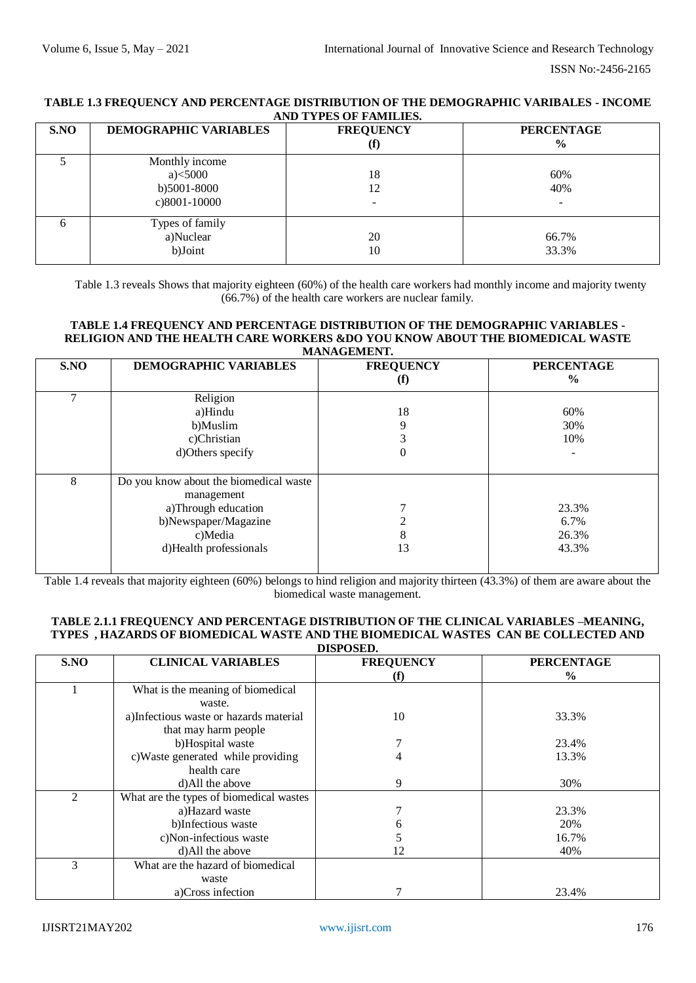## **TABLE 1.3 FREQUENCY AND PERCENTAGE DISTRIBUTION OF THE DEMOGRAPHIC VARIBALES - INCOME AND TYPES OF FAMILIES.**

| S.NO | <b>DEMOGRAPHIC VARIABLES</b>                                   | <b>FREQUENCY</b><br>$\left( \textbf{f} \right)$ | <b>PERCENTAGE</b><br>$\frac{6}{6}$ |
|------|----------------------------------------------------------------|-------------------------------------------------|------------------------------------|
|      | Monthly income<br>$a)$ < 5000<br>b)5001-8000<br>$c)8001-10000$ | 18<br>12                                        | 60%<br>40%                         |
|      | Types of family<br>a)Nuclear<br>b)Joint                        | 20<br>10                                        | 66.7%<br>33.3%                     |

Table 1.3 reveals Shows that majority eighteen (60%) of the health care workers had monthly income and majority twenty (66.7%) of the health care workers are nuclear family.

#### **TABLE 1.4 FREQUENCY AND PERCENTAGE DISTRIBUTION OF THE DEMOGRAPHIC VARIABLES - RELIGION AND THE HEALTH CARE WORKERS &DO YOU KNOW ABOUT THE BIOMEDICAL WASTE MANAGEMENT.**

| S.NO | <b>DEMOGRAPHIC VARIABLES</b>           | <b>FREQUENCY</b> | <b>PERCENTAGE</b><br>$\frac{6}{9}$ |
|------|----------------------------------------|------------------|------------------------------------|
|      |                                        | $\bf(f)$         |                                    |
| 7    | Religion                               |                  |                                    |
|      | a)Hindu                                | 18               | 60%                                |
|      | b)Muslim                               | 9                | 30%                                |
|      | c)Christian                            | 3                | 10%                                |
|      | d)Others specify                       | $\overline{0}$   | $\overline{\phantom{0}}$           |
|      |                                        |                  |                                    |
| 8    | Do you know about the biomedical waste |                  |                                    |
|      | management                             |                  |                                    |
|      | a)Through education                    |                  | 23.3%                              |
|      | b)Newspaper/Magazine                   | ↑                | 6.7%                               |
|      | c)Media                                | 8                | 26.3%                              |
|      | d)Health professionals                 | 13               | 43.3%                              |
|      |                                        |                  |                                    |

Table 1.4 reveals that majority eighteen (60%) belongs to hind religion and majority thirteen (43.3%) of them are aware about the biomedical waste management.

#### **TABLE 2.1.1 FREQUENCY AND PERCENTAGE DISTRIBUTION OF THE CLINICAL VARIABLES –MEANING, TYPES , HAZARDS OF BIOMEDICAL WASTE AND THE BIOMEDICAL WASTES CAN BE COLLECTED AND DISPOSED.**

|      | .                                       |                  |                   |  |  |  |  |
|------|-----------------------------------------|------------------|-------------------|--|--|--|--|
| S.NO | <b>CLINICAL VARIABLES</b>               | <b>FREQUENCY</b> | <b>PERCENTAGE</b> |  |  |  |  |
|      |                                         | (f)              | $\frac{0}{0}$     |  |  |  |  |
|      | What is the meaning of biomedical       |                  |                   |  |  |  |  |
|      | waste.                                  |                  |                   |  |  |  |  |
|      | a)Infectious waste or hazards material  | 10               | 33.3%             |  |  |  |  |
|      | that may harm people                    |                  |                   |  |  |  |  |
|      | b)Hospital waste                        |                  | 23.4%             |  |  |  |  |
|      | c)Waste generated while providing       | 4                | 13.3%             |  |  |  |  |
|      | health care                             |                  |                   |  |  |  |  |
|      | d)All the above                         | 9                | 30%               |  |  |  |  |
| 2    | What are the types of biomedical wastes |                  |                   |  |  |  |  |
|      | a)Hazard waste                          |                  | 23.3%             |  |  |  |  |
|      | b)Infectious waste                      |                  | 20%               |  |  |  |  |
|      | c)Non-infectious waste                  |                  | 16.7%             |  |  |  |  |
|      | d)All the above                         | 12               | 40%               |  |  |  |  |
| 3    | What are the hazard of biomedical       |                  |                   |  |  |  |  |
|      | waste                                   |                  |                   |  |  |  |  |
|      | a)Cross infection                       |                  | 23.4%             |  |  |  |  |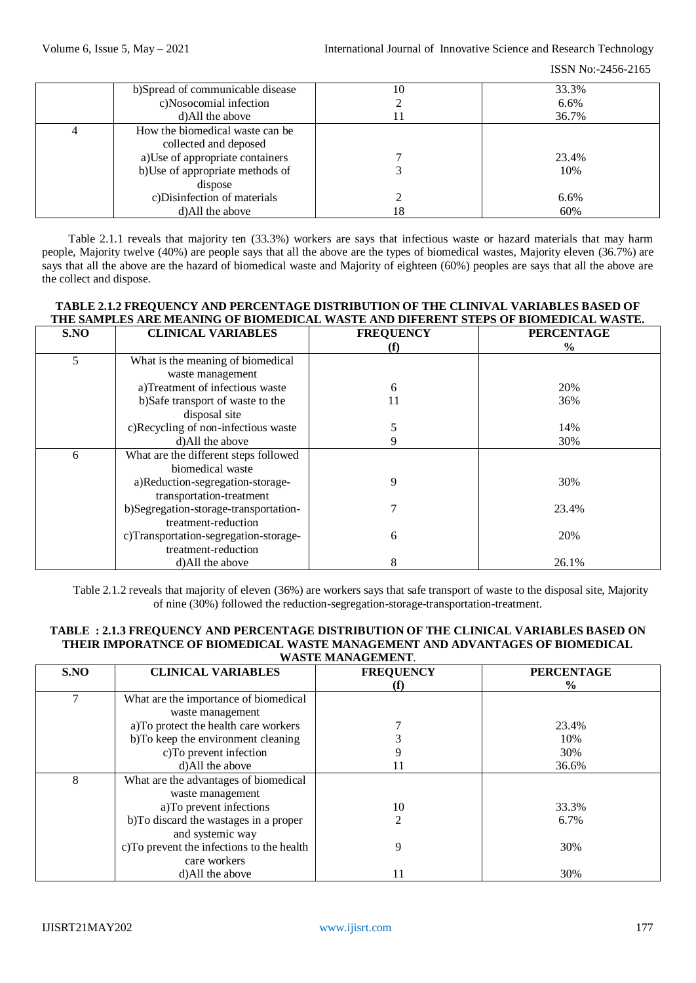| b)Spread of communicable disease<br>c)Nosocomial infection<br>d)All the above                                                                                                               | 10<br>11 | 33.3%<br>6.6%<br>36.7%      |
|---------------------------------------------------------------------------------------------------------------------------------------------------------------------------------------------|----------|-----------------------------|
| How the biomedical waste can be<br>collected and deposed<br>a)Use of appropriate containers<br>b)Use of appropriate methods of<br>dispose<br>c)Disinfection of materials<br>d)All the above | 18       | 23.4%<br>10%<br>6.6%<br>60% |

Table 2.1.1 reveals that majority ten (33.3%) workers are says that infectious waste or hazard materials that may harm people, Majority twelve (40%) are people says that all the above are the types of biomedical wastes, Majority eleven (36.7%) are says that all the above are the hazard of biomedical waste and Majority of eighteen (60%) peoples are says that all the above are the collect and dispose.

# **TABLE 2.1.2 FREQUENCY AND PERCENTAGE DISTRIBUTION OF THE CLINIVAL VARIABLES BASED OF THE SAMPLES ARE MEANING OF BIOMEDICAL WASTE AND DIFERENT STEPS OF BIOMEDICAL WASTE.**

| S.NO | <b>CLINICAL VARIABLES</b>             | <b>FREQUENCY</b> | <b>PERCENTAGE</b> |
|------|---------------------------------------|------------------|-------------------|
|      |                                       |                  | $\frac{6}{9}$     |
| 5    | What is the meaning of biomedical     |                  |                   |
|      | waste management                      |                  |                   |
|      | a)Treatment of infectious waste       | 6                | 20%               |
|      | b)Safe transport of waste to the      | 11               | 36%               |
|      | disposal site                         |                  |                   |
|      | c)Recycling of non-infectious waste   | 5                | 14%               |
|      | d)All the above                       | 9                | 30%               |
| 6    | What are the different steps followed |                  |                   |
|      | biomedical waste                      |                  |                   |
|      | a)Reduction-segregation-storage-      | 9                | 30%               |
|      | transportation-treatment              |                  |                   |
|      | b)Segregation-storage-transportation- |                  | 23.4%             |
|      | treatment-reduction                   |                  |                   |
|      | c)Transportation-segregation-storage- | 6                | 20%               |
|      | treatment-reduction                   |                  |                   |
|      | d)All the above                       | 8                | 26.1%             |

Table 2.1.2 reveals that majority of eleven (36%) are workers says that safe transport of waste to the disposal site, Majority of nine (30%) followed the reduction-segregation-storage-transportation-treatment.

## **TABLE : 2.1.3 FREQUENCY AND PERCENTAGE DISTRIBUTION OF THE CLINICAL VARIABLES BASED ON THEIR IMPORATNCE OF BIOMEDICAL WASTE MANAGEMENT AND ADVANTAGES OF BIOMEDICAL WASTE MANAGEMENT**.

| S.NO | <b>CLINICAL VARIABLES</b>                 | <b>FREQUENCY</b> | <b>PERCENTAGE</b> |  |
|------|-------------------------------------------|------------------|-------------------|--|
|      |                                           |                  | $\frac{0}{0}$     |  |
| 7    | What are the importance of biomedical     |                  |                   |  |
|      | waste management                          |                  |                   |  |
|      | a)To protect the health care workers      |                  | 23.4%             |  |
|      | b)To keep the environment cleaning        |                  | 10%               |  |
|      | c)To prevent infection                    |                  | 30%               |  |
|      | d)All the above                           | 11               | 36.6%             |  |
| 8    | What are the advantages of biomedical     |                  |                   |  |
|      | waste management                          |                  |                   |  |
|      | a)To prevent infections                   | 10               | 33.3%             |  |
|      | b)To discard the wastages in a proper     |                  | 6.7%              |  |
|      | and systemic way                          |                  |                   |  |
|      | c)To prevent the infections to the health | 9                | 30%               |  |
|      | care workers                              |                  |                   |  |
|      | d)All the above                           | 11               | 30%               |  |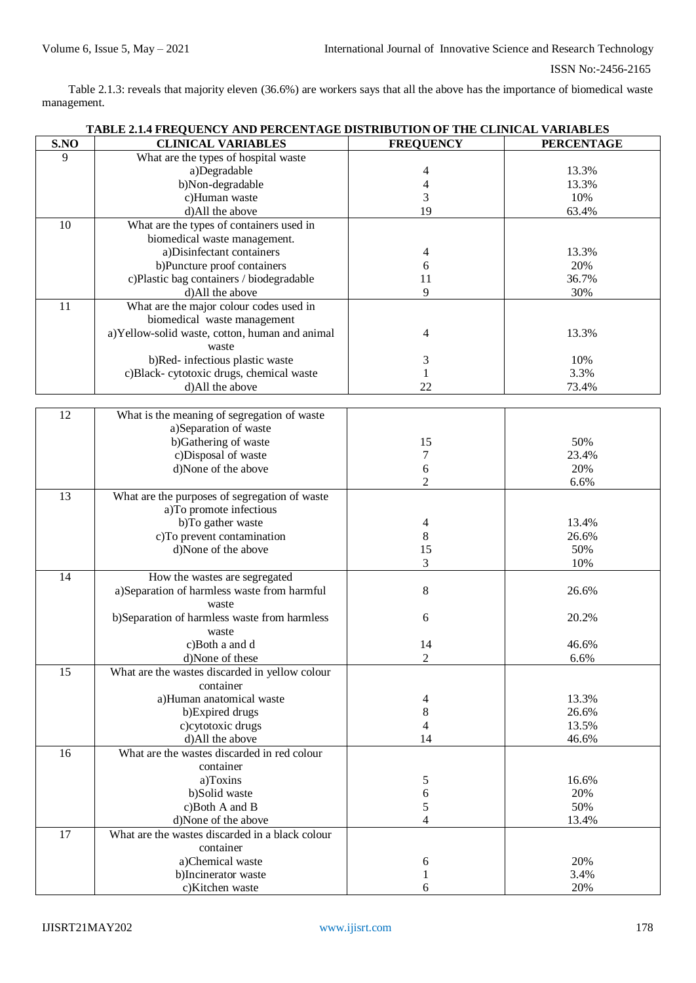Table 2.1.3: reveals that majority eleven (36.6%) are workers says that all the above has the importance of biomedical waste management.

|     | TABLE 2.1.4 FREQUENCY AND PERCENTAGE DISTRIBUTION OF THE CLINICAL VARIABLES |                  |                   |  |  |  |  |
|-----|-----------------------------------------------------------------------------|------------------|-------------------|--|--|--|--|
| SNO | <b>CLINICAL VARIABLES</b>                                                   | <b>FREQUENCY</b> | <b>PERCENTAGE</b> |  |  |  |  |
| 9   | What are the types of hospital waste                                        |                  |                   |  |  |  |  |
|     | a)Degradable                                                                | 4                | 13.3%             |  |  |  |  |
|     | b)Non-degradable                                                            | 4                | 13.3%             |  |  |  |  |
|     | c)Human waste                                                               | 3                | 10%               |  |  |  |  |
|     | d)All the above                                                             | 19               | 63.4%             |  |  |  |  |
| 10  | What are the types of containers used in                                    |                  |                   |  |  |  |  |
|     | biomedical waste management.                                                |                  |                   |  |  |  |  |
|     | a)Disinfectant containers                                                   | 4                | 13.3%             |  |  |  |  |
|     | b)Puncture proof containers                                                 | 6                | 20%               |  |  |  |  |
|     | c)Plastic bag containers / biodegradable                                    | 11               | 36.7%             |  |  |  |  |
|     | d)All the above                                                             | 9                | 30%               |  |  |  |  |
| 11  | What are the major colour codes used in                                     |                  |                   |  |  |  |  |
|     | biomedical waste management                                                 |                  |                   |  |  |  |  |
|     | a)Yellow-solid waste, cotton, human and animal                              | 4                | 13.3%             |  |  |  |  |
|     | waste                                                                       |                  |                   |  |  |  |  |
|     | b)Red- infectious plastic waste                                             | 3                | 10%               |  |  |  |  |
|     | c)Black- cytotoxic drugs, chemical waste                                    | 1                | 3.3%              |  |  |  |  |
|     | d)All the above                                                             | 22               | 73.4%             |  |  |  |  |
|     |                                                                             |                  |                   |  |  |  |  |
| 12  | What is the meaning of segregation of waste                                 |                  |                   |  |  |  |  |
|     | a)Separation of waste                                                       |                  |                   |  |  |  |  |
|     | b)Gathering of waste                                                        | 15               | 50%               |  |  |  |  |
|     | c)Disposal of waste                                                         | 7                | 23.4%             |  |  |  |  |
|     | d)None of the above                                                         | 6                | 20%               |  |  |  |  |
| 13  |                                                                             | $\overline{2}$   | 6.6%              |  |  |  |  |
|     | What are the purposes of segregation of waste                               |                  |                   |  |  |  |  |
|     | a)To promote infectious<br>b)To gather waste                                |                  | 13.4%             |  |  |  |  |
|     | c)To prevent contamination                                                  | 4<br>8           | 26.6%             |  |  |  |  |
|     | d)None of the above                                                         | 15               | 50%               |  |  |  |  |
|     |                                                                             | 3                | 10%               |  |  |  |  |
| 14  | How the wastes are segregated                                               |                  |                   |  |  |  |  |
|     | a)Separation of harmless waste from harmful                                 | 8                | 26.6%             |  |  |  |  |
|     | waste                                                                       |                  |                   |  |  |  |  |
|     | b)Separation of harmless waste from harmless                                | 6                | 20.2%             |  |  |  |  |
|     | waste                                                                       |                  |                   |  |  |  |  |
|     | c)Both a and d                                                              | 14               | 46.6%             |  |  |  |  |
|     | d)None of these                                                             | 2                | 6.6%              |  |  |  |  |
| 15  | What are the wastes discarded in yellow colour                              |                  |                   |  |  |  |  |
|     | container                                                                   |                  |                   |  |  |  |  |
|     | a)Human anatomical waste                                                    | 4                | 13.3%             |  |  |  |  |
|     | b)Expired drugs                                                             | $\,8\,$          | 26.6%             |  |  |  |  |
|     | c)cytotoxic drugs                                                           | 4                | 13.5%             |  |  |  |  |
|     | d)All the above                                                             | 14               | 46.6%             |  |  |  |  |
| 16  | What are the wastes discarded in red colour                                 |                  |                   |  |  |  |  |
|     | container                                                                   |                  |                   |  |  |  |  |
|     | a)Toxins                                                                    | 5                | 16.6%             |  |  |  |  |
|     | b)Solid waste                                                               | 6                | 20%               |  |  |  |  |
|     | c)Both A and B                                                              | 5                | 50%               |  |  |  |  |
|     | d)None of the above                                                         | 4                | 13.4%             |  |  |  |  |
| 17  | What are the wastes discarded in a black colour                             |                  |                   |  |  |  |  |
|     | container                                                                   |                  |                   |  |  |  |  |
|     | a)Chemical waste                                                            | 6                | 20%               |  |  |  |  |
|     | b)Incinerator waste                                                         | 1                | 3.4%              |  |  |  |  |
|     | c)Kitchen waste                                                             | 6                | 20%               |  |  |  |  |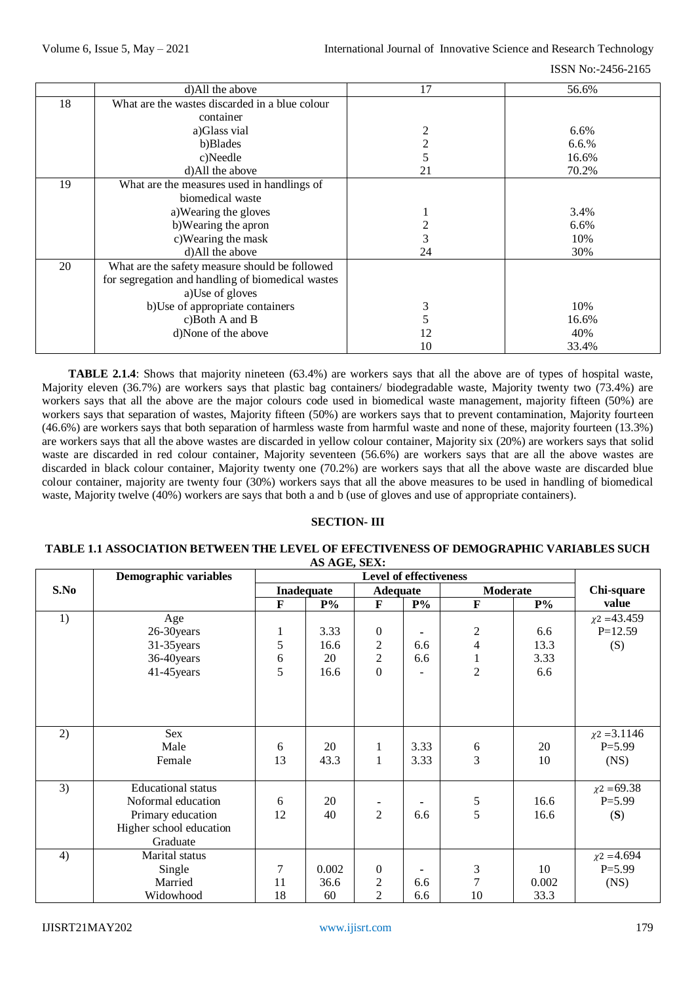|    | d)All the above                                   | 17             | 56.6% |
|----|---------------------------------------------------|----------------|-------|
| 18 | What are the wastes discarded in a blue colour    |                |       |
|    | container                                         |                |       |
|    | a)Glass vial                                      | 2              | 6.6%  |
|    | b)Blades                                          | $\overline{2}$ | 6.6.% |
|    | c)Needle                                          | 5              | 16.6% |
|    | d)All the above                                   | 21             | 70.2% |
| 19 | What are the measures used in handlings of        |                |       |
|    | biomedical waste                                  |                |       |
|    | a) Wearing the gloves                             |                | 3.4%  |
|    | b) Wearing the apron                              | 2              | 6.6%  |
|    | c) Wearing the mask                               | 3              | 10%   |
|    | d)All the above                                   | 24             | 30%   |
| 20 | What are the safety measure should be followed    |                |       |
|    | for segregation and handling of biomedical wastes |                |       |
|    | a)Use of gloves                                   |                |       |
|    | b)Use of appropriate containers                   | 3              | 10%   |
|    | c)Both A and B                                    | 5              | 16.6% |
|    | d)None of the above                               | 12             | 40%   |
|    |                                                   | 10             | 33.4% |

**TABLE 2.1.4**: Shows that majority nineteen (63.4%) are workers says that all the above are of types of hospital waste, Majority eleven (36.7%) are workers says that plastic bag containers/ biodegradable waste, Majority twenty two (73.4%) are workers says that all the above are the major colours code used in biomedical waste management, majority fifteen (50%) are workers says that separation of wastes, Majority fifteen (50%) are workers says that to prevent contamination, Majority fourteen (46.6%) are workers says that both separation of harmless waste from harmful waste and none of these, majority fourteen (13.3%) are workers says that all the above wastes are discarded in yellow colour container, Majority six (20%) are workers says that solid waste are discarded in red colour container, Majority seventeen (56.6%) are workers says that are all the above wastes are discarded in black colour container, Majority twenty one (70.2%) are workers says that all the above waste are discarded blue colour container, majority are twenty four (30%) workers says that all the above measures to be used in handling of biomedical waste, Majority twelve (40%) workers are says that both a and b (use of gloves and use of appropriate containers).

# **SECTION- III**

#### **TABLE 1.1 ASSOCIATION BETWEEN THE LEVEL OF EFECTIVENESS OF DEMOGRAPHIC VARIABLES SUCH AS AGE, SEX:**

|      | Demographic variables     |              |                   | <b>Level of effectiveness</b> |                |                  |       |                   |
|------|---------------------------|--------------|-------------------|-------------------------------|----------------|------------------|-------|-------------------|
| S.No |                           |              | <b>Inadequate</b> | <b>Adequate</b>               |                | <b>Moderate</b>  |       | Chi-square        |
|      |                           | $\mathbf{F}$ | $P\%$             | $\mathbf{F}$                  | $P\%$          | $\mathbf F$      | $P\%$ | value             |
| 1)   | Age                       |              |                   |                               |                |                  |       | $\chi$ 2 = 43.459 |
|      | 26-30 years               | 1            | 3.33              | $\overline{0}$                |                | $\boldsymbol{2}$ | 6.6   | $P=12.59$         |
|      | 31-35 years               | 5            | 16.6              | $\overline{c}$                | 6.6            | $\overline{4}$   | 13.3  | (S)               |
|      | 36-40years                | 6            | 20                | $\sqrt{2}$                    | 6.6            | $\,1\,$          | 3.33  |                   |
|      | 41-45 years               | 5            | 16.6              | $\theta$                      | $\blacksquare$ | $\overline{2}$   | 6.6   |                   |
|      |                           |              |                   |                               |                |                  |       |                   |
|      |                           |              |                   |                               |                |                  |       |                   |
|      |                           |              |                   |                               |                |                  |       |                   |
| 2)   | Sex                       |              |                   |                               |                |                  |       | $\chi$ 2 = 3.1146 |
|      | Male                      | 6            | 20                | 1                             | 3.33           |                  | 20    | $P = 5.99$        |
|      | Female                    | 13           | 43.3              | 1                             | 3.33           | $\frac{6}{3}$    | 10    | (NS)              |
|      |                           |              |                   |                               |                |                  |       |                   |
| 3)   | <b>Educational</b> status |              |                   |                               |                |                  |       | $\chi$ 2 = 69.38  |
|      | Noformal education        | 6            | 20                |                               |                | $\frac{5}{5}$    | 16.6  | $P = 5.99$        |
|      | Primary education         | 12           | 40                | $\overline{2}$                | 6.6            |                  | 16.6  | (S)               |
|      | Higher school education   |              |                   |                               |                |                  |       |                   |
|      | Graduate                  |              |                   |                               |                |                  |       |                   |
| 4)   | Marital status            |              |                   |                               |                |                  |       | $\chi$ 2 = 4.694  |
|      | Single                    | 7            | 0.002             | $\boldsymbol{0}$              |                | $\mathfrak 3$    | 10    | $P = 5.99$        |
|      | Married                   | 11           | 36.6              | $\mathfrak{2}$                | 6.6            | $\overline{7}$   | 0.002 | (NS)              |
|      | Widowhood                 | 18           | 60                | $\overline{2}$                | 6.6            | 10               | 33.3  |                   |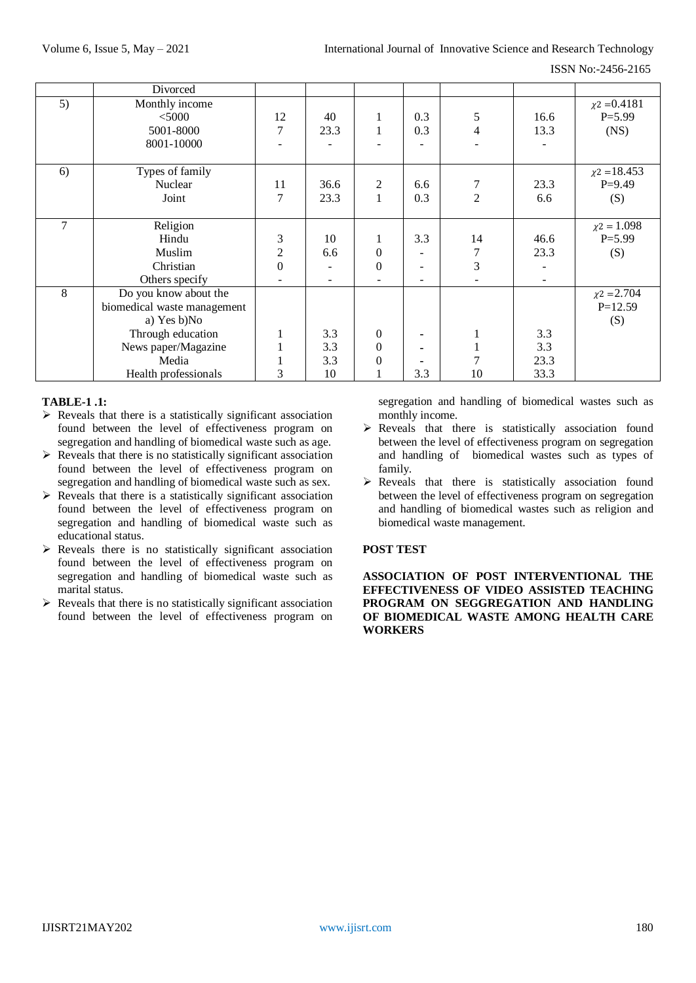ISSN No:-2456-2165

|    | Divorced                    |                  |      |                  |     |                |      |                   |
|----|-----------------------------|------------------|------|------------------|-----|----------------|------|-------------------|
| 5) | Monthly income              |                  |      |                  |     |                |      | $\chi$ 2 = 0.4181 |
|    | $<$ 5000                    | 12               | 40   | 1                | 0.3 | 5              | 16.6 | $P = 5.99$        |
|    | 5001-8000                   | 7                | 23.3 |                  | 0.3 | $\overline{4}$ | 13.3 | (NS)              |
|    | 8001-10000                  |                  |      |                  |     |                |      |                   |
|    |                             |                  |      |                  |     |                |      |                   |
| 6) | Types of family             |                  |      |                  |     |                |      | $\chi$ 2 = 18.453 |
|    | Nuclear                     | 11               | 36.6 | 2                | 6.6 |                | 23.3 | $P=9.49$          |
|    | Joint                       | 7                | 23.3 |                  | 0.3 | $\overline{2}$ | 6.6  | (S)               |
|    |                             |                  |      |                  |     |                |      |                   |
| 7  | Religion                    |                  |      |                  |     |                |      | $\chi$ 2 = 1.098  |
|    | Hindu                       | 3                | 10   |                  | 3.3 | 14             | 46.6 | $P = 5.99$        |
|    | Muslim                      | $\overline{2}$   | 6.6  | $\theta$         |     | 7              | 23.3 | (S)               |
|    | Christian                   | $\boldsymbol{0}$ |      | $\overline{0}$   |     | 3              |      |                   |
|    | Others specify              |                  |      |                  | ۰   |                |      |                   |
| 8  | Do you know about the       |                  |      |                  |     |                |      | $\chi$ 2 = 2.704  |
|    | biomedical waste management |                  |      |                  |     |                |      | $P=12.59$         |
|    | a) Yes b)No                 |                  |      |                  |     |                |      | (S)               |
|    | Through education           |                  | 3.3  | $\theta$         |     |                | 3.3  |                   |
|    | News paper/Magazine         |                  | 3.3  | $\boldsymbol{0}$ | ٠   |                | 3.3  |                   |
|    | Media                       |                  | 3.3  | 0                |     |                | 23.3 |                   |
|    | Health professionals        | 3                | 10   |                  | 3.3 | 10             | 33.3 |                   |

# **TABLE-1 .1:**

- $\triangleright$  Reveals that there is a statistically significant association found between the level of effectiveness program on segregation and handling of biomedical waste such as age.
- $\triangleright$  Reveals that there is no statistically significant association found between the level of effectiveness program on segregation and handling of biomedical waste such as sex.
- $\triangleright$  Reveals that there is a statistically significant association found between the level of effectiveness program on segregation and handling of biomedical waste such as educational status.
- $\triangleright$  Reveals there is no statistically significant association found between the level of effectiveness program on segregation and handling of biomedical waste such as marital status.
- $\triangleright$  Reveals that there is no statistically significant association found between the level of effectiveness program on

segregation and handling of biomedical wastes such as monthly income.

- $\triangleright$  Reveals that there is statistically association found between the level of effectiveness program on segregation and handling of biomedical wastes such as types of family.
- $\triangleright$  Reveals that there is statistically association found between the level of effectiveness program on segregation and handling of biomedical wastes such as religion and biomedical waste management.

# **POST TEST**

**ASSOCIATION OF POST INTERVENTIONAL THE EFFECTIVENESS OF VIDEO ASSISTED TEACHING PROGRAM ON SEGGREGATION AND HANDLING OF BIOMEDICAL WASTE AMONG HEALTH CARE WORKERS**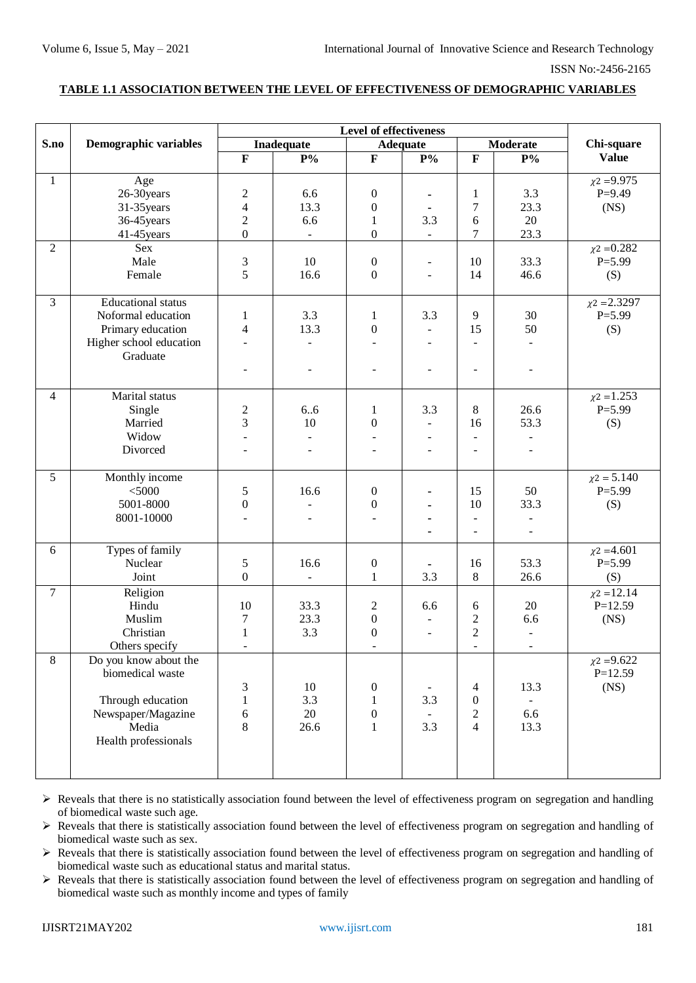## **TABLE 1.1 ASSOCIATION BETWEEN THE LEVEL OF EFFECTIVENESS OF DEMOGRAPHIC VARIABLES**

|                |                                                                                                                       | <b>Level of effectiveness</b>                                                 |                                      |                                                                          |                                                                           |                                                                    |                                                |                                        |
|----------------|-----------------------------------------------------------------------------------------------------------------------|-------------------------------------------------------------------------------|--------------------------------------|--------------------------------------------------------------------------|---------------------------------------------------------------------------|--------------------------------------------------------------------|------------------------------------------------|----------------------------------------|
| S.no           | Demographic variables                                                                                                 | Inadequate<br><b>Adequate</b>                                                 |                                      |                                                                          | <b>Moderate</b>                                                           |                                                                    | Chi-square                                     |                                        |
|                |                                                                                                                       | $\mathbf{F}$                                                                  | $\mathbf{P}^{o}\!/\!_{\mathbf{0}}$   | $\mathbf F$                                                              | $\mathbf{P}^{o}\!/\!_{o}$                                                 | $\mathbf{F}$                                                       | $\mathbf{P}^{0}\!/\!_{\mathbf{0}}$             | <b>Value</b>                           |
| $\mathbf{1}$   | Age<br>26-30years<br>31-35years<br>36-45 years<br>41-45 years                                                         | $\overline{c}$<br>$\overline{\mathbf{4}}$<br>$\overline{c}$<br>$\overline{0}$ | 6.6<br>13.3<br>6.6<br>$\blacksquare$ | $\boldsymbol{0}$<br>$\boldsymbol{0}$<br>$\mathbf{1}$<br>$\boldsymbol{0}$ | 3.3<br>$\blacksquare$                                                     | $\mathbf{1}$<br>7<br>6<br>$\boldsymbol{7}$                         | 3.3<br>23.3<br>20<br>23.3                      | $\chi$ 2 = 9.975<br>$P=9.49$<br>(NS)   |
| $\overline{2}$ | Sex<br>Male<br>Female                                                                                                 | 3<br>5                                                                        | 10<br>16.6                           | $\boldsymbol{0}$<br>$\boldsymbol{0}$                                     | $\blacksquare$<br>$\ddot{\phantom{1}}$                                    | 10<br>14                                                           | 33.3<br>46.6                                   | $\chi$ 2 = 0.282<br>$P = 5.99$<br>(S)  |
| $\overline{3}$ | <b>Educational</b> status<br>Noformal education<br>Primary education<br>Higher school education<br>Graduate           | 1<br>4<br>$\overline{a}$                                                      | 3.3<br>13.3<br>$\blacksquare$        | 1<br>$\boldsymbol{0}$                                                    | 3.3<br>$\blacksquare$<br>$\overline{\phantom{a}}$<br>$\ddot{\phantom{1}}$ | 9<br>15<br>$\blacksquare$<br>L,                                    | 30<br>50<br>$\omega$<br>$\omega$               | $\chi$ 2 = 2.3297<br>$P = 5.99$<br>(S) |
| $\overline{4}$ | Marital status<br>Single<br>Married<br>Widow<br>Divorced                                                              | 2<br>3<br>$\sim$                                                              | 6.6<br>10<br>$\blacksquare$          | $\mathbf{1}$<br>$\boldsymbol{0}$<br>$\blacksquare$                       | 3.3<br>$\overline{\phantom{a}}$<br>$\sim$<br>$\bar{\phantom{a}}$          | $\,8\,$<br>16<br>$\overline{a}$<br>L,                              | 26.6<br>53.3<br>$\blacksquare$<br>$\omega$     | $\chi$ 2 = 1.253<br>$P = 5.99$<br>(S)  |
| 5              | Monthly income<br>$<$ 5000<br>5001-8000<br>8001-10000                                                                 | 5<br>$\boldsymbol{0}$                                                         | 16.6                                 | $\boldsymbol{0}$<br>$\boldsymbol{0}$<br>$\overline{\phantom{a}}$         | ٠                                                                         | 15<br>10<br>$\frac{1}{2}$<br>$\overline{\phantom{a}}$              | 50<br>33.3<br>$\blacksquare$<br>$\blacksquare$ | $\chi$ 2 = 5.140<br>$P = 5.99$<br>(S)  |
| 6              | Types of family<br>Nuclear<br>Joint                                                                                   | 5<br>$\mathbf{0}$                                                             | 16.6<br>$\blacksquare$               | $\boldsymbol{0}$<br>$\mathbf{1}$                                         | 3.3                                                                       | 16<br>$8\,$                                                        | 53.3<br>26.6                                   | $\chi$ 2 = 4.601<br>$P = 5.99$<br>(S)  |
| $\overline{7}$ | Religion<br>Hindu<br>Muslim<br>Christian<br>Others specify                                                            | 10<br>7<br>$\mathbf{1}$<br>$\overline{\phantom{a}}$                           | 33.3<br>23.3<br>3.3                  | $\overline{c}$<br>$\boldsymbol{0}$<br>$\boldsymbol{0}$                   | 6.6<br>$\ddot{\phantom{1}}$                                               | 6<br>$\overline{c}$<br>$\overline{2}$                              | $20\,$<br>6.6<br>$\blacksquare$<br>-           | $\chi$ 2 = 12.14<br>$P=12.59$<br>(NS)  |
| 8              | Do you know about the<br>biomedical waste<br>Through education<br>Newspaper/Magazine<br>Media<br>Health professionals | 3<br>$\mathbf{1}$<br>6<br>8                                                   | 10<br>3.3<br>20<br>26.6              | $\boldsymbol{0}$<br>1<br>$\boldsymbol{0}$<br>$\mathbf{1}$                | $\blacksquare$<br>3.3<br>3.3                                              | $\overline{4}$<br>$\boldsymbol{0}$<br>$\sqrt{2}$<br>$\overline{4}$ | 13.3<br>$\blacksquare$<br>6.6<br>13.3          | $\chi$ 2 = 9.622<br>$P=12.59$<br>(NS)  |

 $\triangleright$  Reveals that there is no statistically association found between the level of effectiveness program on segregation and handling of biomedical waste such age.

 Reveals that there is statistically association found between the level of effectiveness program on segregation and handling of biomedical waste such as sex.

 Reveals that there is statistically association found between the level of effectiveness program on segregation and handling of biomedical waste such as educational status and marital status.

 Reveals that there is statistically association found between the level of effectiveness program on segregation and handling of biomedical waste such as monthly income and types of family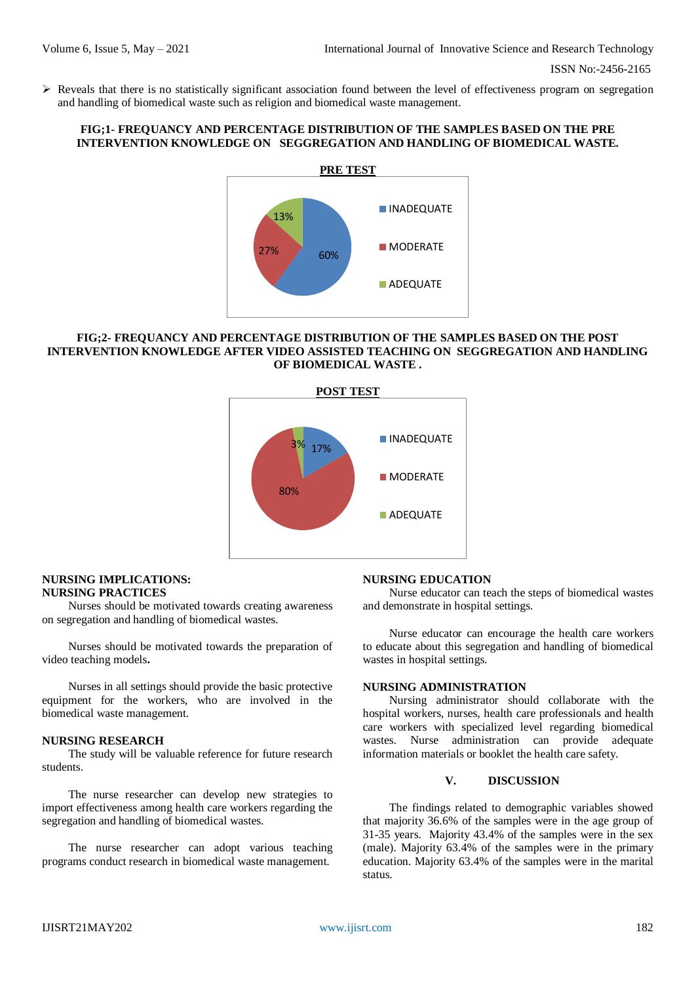$\triangleright$  Reveals that there is no statistically significant association found between the level of effectiveness program on segregation and handling of biomedical waste such as religion and biomedical waste management.

# **FIG;1- FREQUANCY AND PERCENTAGE DISTRIBUTION OF THE SAMPLES BASED ON THE PRE INTERVENTION KNOWLEDGE ON SEGGREGATION AND HANDLING OF BIOMEDICAL WASTE.**



## **FIG;2- FREQUANCY AND PERCENTAGE DISTRIBUTION OF THE SAMPLES BASED ON THE POST INTERVENTION KNOWLEDGE AFTER VIDEO ASSISTED TEACHING ON SEGGREGATION AND HANDLING OF BIOMEDICAL WASTE .**



#### **NURSING IMPLICATIONS: NURSING PRACTICES**

Nurses should be motivated towards creating awareness on segregation and handling of biomedical wastes.

Nurses should be motivated towards the preparation of video teaching models**.**

Nurses in all settings should provide the basic protective equipment for the workers, who are involved in the biomedical waste management.

## **NURSING RESEARCH**

The study will be valuable reference for future research students.

The nurse researcher can develop new strategies to import effectiveness among health care workers regarding the segregation and handling of biomedical wastes.

The nurse researcher can adopt various teaching programs conduct research in biomedical waste management.

## **NURSING EDUCATION**

Nurse educator can teach the steps of biomedical wastes and demonstrate in hospital settings.

Nurse educator can encourage the health care workers to educate about this segregation and handling of biomedical wastes in hospital settings.

# **NURSING ADMINISTRATION**

Nursing administrator should collaborate with the hospital workers, nurses, health care professionals and health care workers with specialized level regarding biomedical wastes. Nurse administration can provide adequate information materials or booklet the health care safety.

## **V. DISCUSSION**

The findings related to demographic variables showed that majority 36.6% of the samples were in the age group of 31-35 years. Majority 43.4% of the samples were in the sex (male). Majority 63.4% of the samples were in the primary education. Majority 63.4% of the samples were in the marital status.